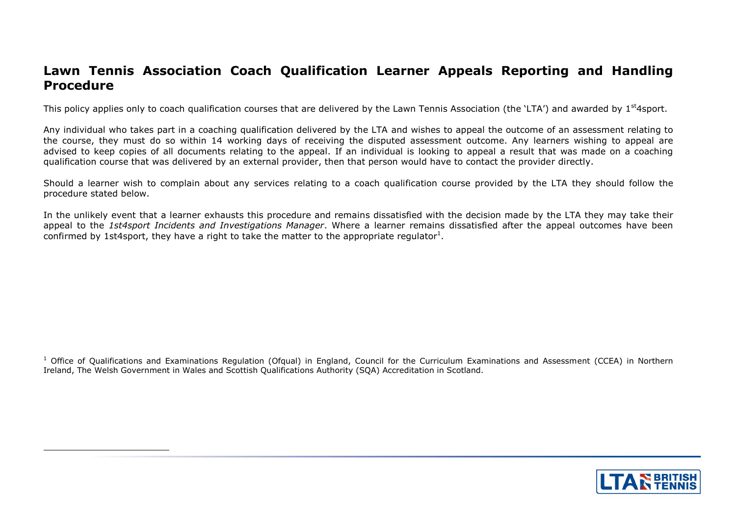# **Lawn Tennis Association Coach Qualification Learner Appeals Reporting and Handling Procedure**

This policy applies only to coach qualification courses that are delivered by the Lawn Tennis Association (the 'LTA') and awarded by  $1<sup>st</sup>4sport$ .

Any individual who takes part in a coaching qualification delivered by the LTA and wishes to appeal the outcome of an assessment relating to the course, they must do so within 14 working days of receiving the disputed assessment outcome. Any learners wishing to appeal are advised to keep copies of all documents relating to the appeal. If an individual is looking to appeal a result that was made on a coaching qualification course that was delivered by an external provider, then that person would have to contact the provider directly.

Should a learner wish to complain about any services relating to a coach qualification course provided by the LTA they should follow the procedure stated below.

In the unlikely event that a learner exhausts this procedure and remains dissatisfied with the decision made by the LTA they may take their appeal to the *1st4sport Incidents and Investigations Manager*. Where a learner remains dissatisfied after the appeal outcomes have been confirmed by 1st4sport, they have a right to take the matter to the appropriate regulator<sup>1</sup>.

<sup>1</sup> Office of Qualifications and Examinations Regulation (Ofqual) in England, Council for the Curriculum Examinations and Assessment (CCEA) in Northern Ireland, The Welsh Government in Wales and Scottish Qualifications Authority (SQA) Accreditation in Scotland.

-

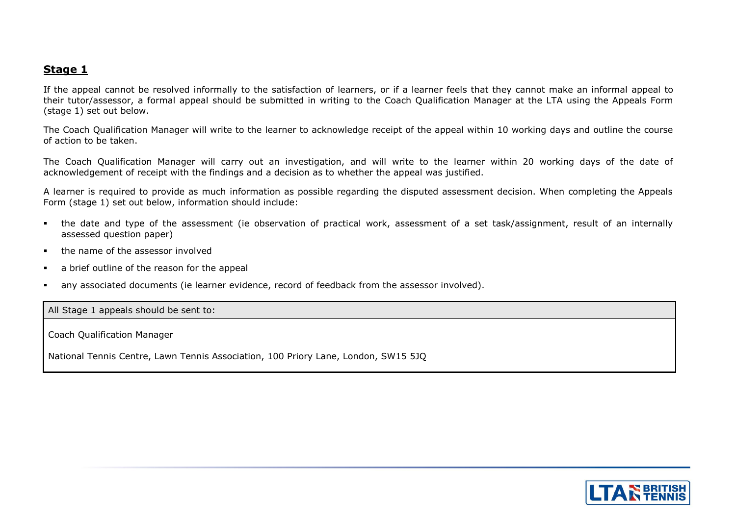#### **Stage 1**

If the appeal cannot be resolved informally to the satisfaction of learners, or if a learner feels that they cannot make an informal appeal to their tutor/assessor, a formal appeal should be submitted in writing to the Coach Qualification Manager at the LTA using the Appeals Form (stage 1) set out below.

The Coach Qualification Manager will write to the learner to acknowledge receipt of the appeal within 10 working days and outline the course of action to be taken.

The Coach Qualification Manager will carry out an investigation, and will write to the learner within 20 working days of the date of acknowledgement of receipt with the findings and a decision as to whether the appeal was justified.

A learner is required to provide as much information as possible regarding the disputed assessment decision. When completing the Appeals Form (stage 1) set out below, information should include:

- the date and type of the assessment (ie observation of practical work, assessment of a set task/assignment, result of an internally assessed question paper)
- **the name of the assessor involved**
- a brief outline of the reason for the appeal
- any associated documents (ie learner evidence, record of feedback from the assessor involved).

All Stage 1 appeals should be sent to:

Coach Qualification Manager

National Tennis Centre, Lawn Tennis Association, 100 Priory Lane, London, SW15 5JQ

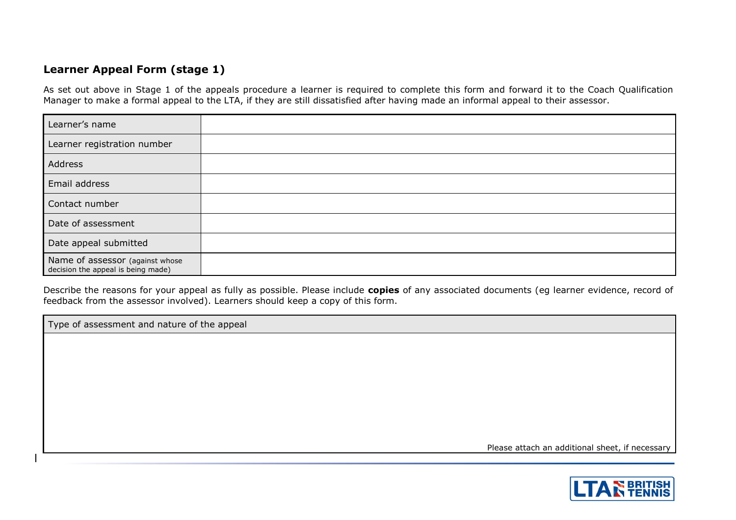#### **Learner Appeal Form (stage 1)**

As set out above in Stage 1 of the appeals procedure a learner is required to complete this form and forward it to the Coach Qualification Manager to make a formal appeal to the LTA, if they are still dissatisfied after having made an informal appeal to their assessor.

| Learner's name                                                        |  |
|-----------------------------------------------------------------------|--|
| Learner registration number                                           |  |
| Address                                                               |  |
| Email address                                                         |  |
| Contact number                                                        |  |
| Date of assessment                                                    |  |
| Date appeal submitted                                                 |  |
| Name of assessor (against whose<br>decision the appeal is being made) |  |

Describe the reasons for your appeal as fully as possible. Please include **copies** of any associated documents (eg learner evidence, record of feedback from the assessor involved). Learners should keep a copy of this form.

Type of assessment and nature of the appeal

Please attach an additional sheet, if necessary

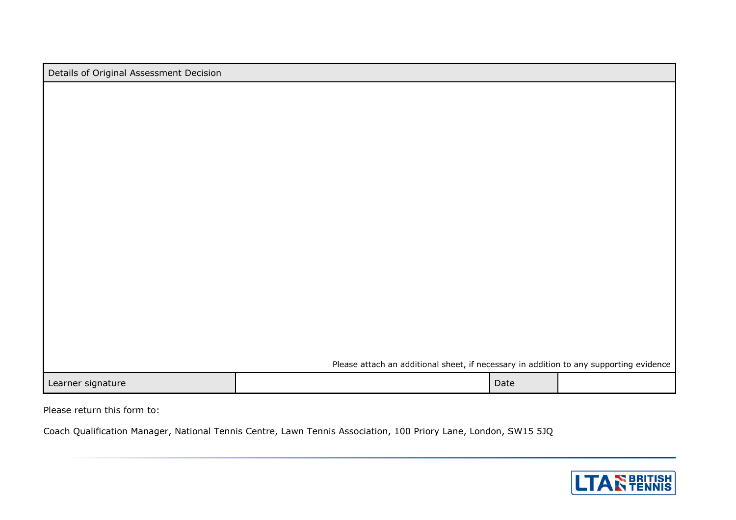|  | Details of Original Assessment Decision |  |
|--|-----------------------------------------|--|
|--|-----------------------------------------|--|

Please attach an additional sheet, if necessary in addition to any supporting evidence

Learner signature and the contract of the contract of the contract of the contract of the contract of the contract of the contract of the contract of the contract of the contract of the contract of the contract of the cont

Please return this form to:

Coach Qualification Manager, National Tennis Centre, Lawn Tennis Association, 100 Priory Lane, London, SW15 5JQ